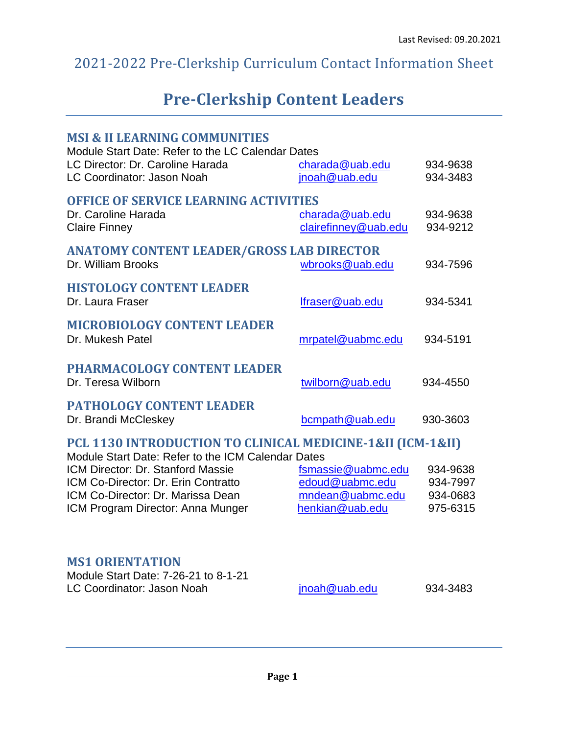# 2021-2022 Pre-Clerkship Curriculum Contact Information Sheet

# **Pre-Clerkship Content Leaders**

| <b>MSI &amp; II LEARNING COMMUNITIES</b><br>Module Start Date: Refer to the LC Calendar Dates<br>LC Director: Dr. Caroline Harada<br><b>LC Coordinator: Jason Noah</b>                                                                                                 | charada@uab.edu<br>jnoah@uab.edu                                             | 934-9638<br>934-3483                         |
|------------------------------------------------------------------------------------------------------------------------------------------------------------------------------------------------------------------------------------------------------------------------|------------------------------------------------------------------------------|----------------------------------------------|
| <b>OFFICE OF SERVICE LEARNING ACTIVITIES</b><br>Dr. Caroline Harada<br><b>Claire Finney</b>                                                                                                                                                                            | charada@uab.edu<br>clairefinney@uab.edu                                      | 934-9638<br>934-9212                         |
| <b>ANATOMY CONTENT LEADER/GROSS LAB DIRECTOR</b><br>Dr. William Brooks                                                                                                                                                                                                 | wbrooks@uab.edu                                                              | 934-7596                                     |
| <b>HISTOLOGY CONTENT LEADER</b><br>Dr. Laura Fraser                                                                                                                                                                                                                    | lfraser@uab.edu                                                              | 934-5341                                     |
| <b>MICROBIOLOGY CONTENT LEADER</b><br>Dr. Mukesh Patel                                                                                                                                                                                                                 | mrpatel@uabmc.edu                                                            | 934-5191                                     |
| <b>PHARMACOLOGY CONTENT LEADER</b><br>Dr. Teresa Wilborn                                                                                                                                                                                                               | twilborn@uab.edu                                                             | 934-4550                                     |
| <b>PATHOLOGY CONTENT LEADER</b><br>Dr. Brandi McCleskey                                                                                                                                                                                                                | bcmpath@uab.edu                                                              | 930-3603                                     |
| PCL 1130 INTRODUCTION TO CLINICAL MEDICINE-1&II (ICM-1&II)<br>Module Start Date: Refer to the ICM Calendar Dates<br>ICM Director: Dr. Stanford Massie<br>ICM Co-Director: Dr. Erin Contratto<br>ICM Co-Director: Dr. Marissa Dean<br>ICM Program Director: Anna Munger | fsmassie@uabmc.edu<br>edoud@uabmc.edu<br>mndean@uabmc.edu<br>henkian@uab.edu | 934-9638<br>934-7997<br>934-0683<br>975-6315 |
|                                                                                                                                                                                                                                                                        |                                                                              |                                              |

### **MS1 ORIENTATION**

| Module Start Date: 7-26-21 to 8-1-21 |               |          |
|--------------------------------------|---------------|----------|
| LC Coordinator: Jason Noah           | jnoah@uab.edu | 934-3483 |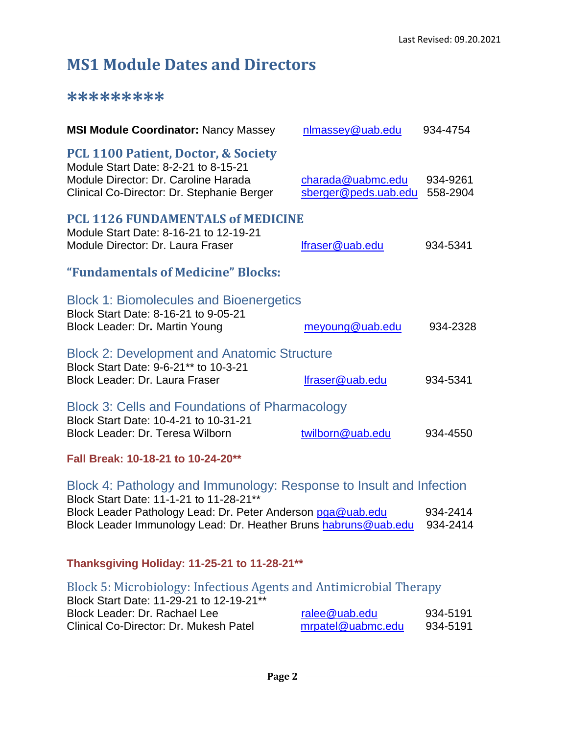# **MS1 Module Dates and Directors**

### **\*\*\*\*\*\*\*\*\***

| <b>MSI Module Coordinator: Nancy Massey</b>                                                                                                                                  | nlmassey@uab.edu                          | 934-4754             |
|------------------------------------------------------------------------------------------------------------------------------------------------------------------------------|-------------------------------------------|----------------------|
| <b>PCL 1100 Patient, Doctor, &amp; Society</b><br>Module Start Date: 8-2-21 to 8-15-21<br>Module Director: Dr. Caroline Harada<br>Clinical Co-Director: Dr. Stephanie Berger | charada@uabmc.edu<br>sberger@peds.uab.edu | 934-9261<br>558-2904 |
| <b>PCL 1126 FUNDAMENTALS of MEDICINE</b><br>Module Start Date: 8-16-21 to 12-19-21<br>Module Director: Dr. Laura Fraser                                                      | lfraser@uab.edu                           | 934-5341             |
| "Fundamentals of Medicine" Blocks:                                                                                                                                           |                                           |                      |
| <b>Block 1: Biomolecules and Bioenergetics</b><br>Block Start Date: 8-16-21 to 9-05-21<br>Block Leader: Dr. Martin Young                                                     | meyoung@uab.edu                           | 934-2328             |
| <b>Block 2: Development and Anatomic Structure</b><br>Block Start Date: 9-6-21** to 10-3-21<br>Block Leader: Dr. Laura Fraser                                                | lfraser@uab.edu                           | 934-5341             |
| <b>Block 3: Cells and Foundations of Pharmacology</b><br>Block Start Date: 10-4-21 to 10-31-21<br>Block Leader: Dr. Teresa Wilborn                                           | twilborn@uab.edu                          | 934-4550             |
| .                                                                                                                                                                            |                                           |                      |

**Fall Break: 10-18-21 to 10-24-20\*\***

| Block 4: Pathology and Immunology: Response to Insult and Infection |          |
|---------------------------------------------------------------------|----------|
| Block Start Date: 11-1-21 to 11-28-21**                             |          |
| Block Leader Pathology Lead: Dr. Peter Anderson pga@uab.edu         | 934-2414 |
| Block Leader Immunology Lead: Dr. Heather Bruns habruns@uab.edu     | 934-2414 |

# **Thanksgiving Holiday: 11-25-21 to 11-28-21\*\***

| Block 5: Microbiology: Infectious Agents and Antimicrobial Therapy |                   |          |
|--------------------------------------------------------------------|-------------------|----------|
| Block Start Date: 11-29-21 to 12-19-21 <sup>**</sup>               |                   |          |
| Block Leader: Dr. Rachael Lee                                      | ralee@uab.edu     | 934-5191 |
| <b>Clinical Co-Director: Dr. Mukesh Patel</b>                      | mrpatel@uabmc.edu | 934-5191 |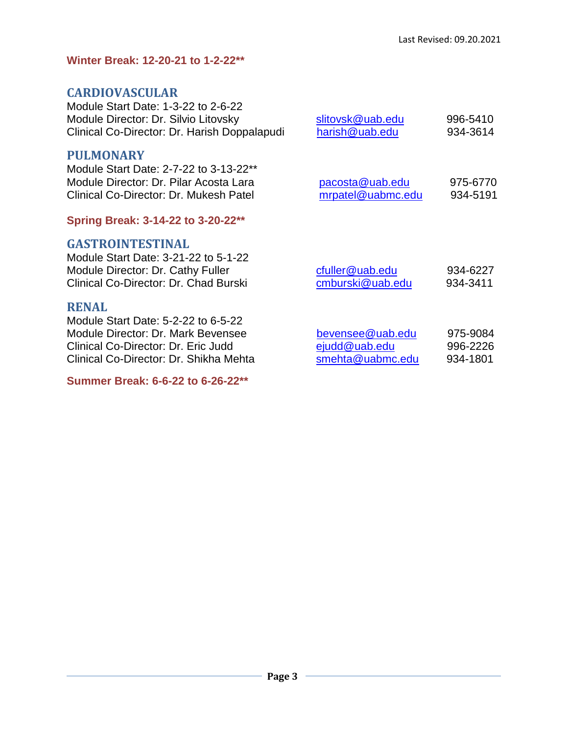### **Winter Break: 12-20-21 to 1-2-22\*\***

## **CARDIOVASCULAR**

| Module Start Date: 1-3-22 to 2-6-22<br>Module Director: Dr. Silvio Litovsky<br>Clinical Co-Director: Dr. Harish Doppalapudi                                                | slitovsk@uab.edu<br>harish@uab.edu                    | 996-5410<br>934-3614             |
|----------------------------------------------------------------------------------------------------------------------------------------------------------------------------|-------------------------------------------------------|----------------------------------|
| <b>PULMONARY</b><br>Module Start Date: 2-7-22 to 3-13-22**<br>Module Director: Dr. Pilar Acosta Lara<br>Clinical Co-Director: Dr. Mukesh Patel                             | pacosta@uab.edu<br>mrpatel@uabmc.edu                  | 975-6770<br>934-5191             |
| Spring Break: 3-14-22 to 3-20-22**                                                                                                                                         |                                                       |                                  |
| <b>GASTROINTESTINAL</b><br>Module Start Date: 3-21-22 to 5-1-22<br>Module Director: Dr. Cathy Fuller<br>Clinical Co-Director: Dr. Chad Burski                              | cfuller@uab.edu<br>cmburski@uab.edu                   | 934-6227<br>934-3411             |
| <b>RENAL</b><br>Module Start Date: 5-2-22 to 6-5-22<br>Module Director: Dr. Mark Bevensee<br>Clinical Co-Director: Dr. Eric Judd<br>Clinical Co-Director: Dr. Shikha Mehta | bevensee@uab.edu<br>ejudd@uab.edu<br>smehta@uabmc.edu | 975-9084<br>996-2226<br>934-1801 |

### **Summer Break: 6-6-22 to 6-26-22\*\***